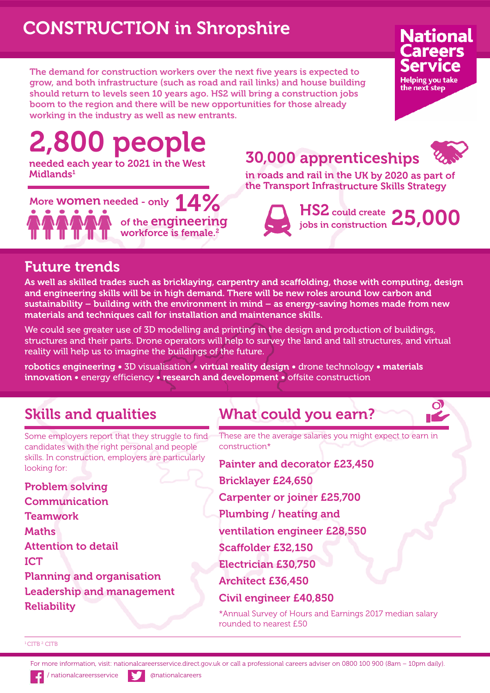# **CONSTRUCTION in Shropshire**

**The demand for construction workers over the next five years is expected to grow, and both infrastructure (such as road and rail links) and house building should return to levels seen 10 years ago. HS2 will bring a construction jobs boom to the region and there will be new opportunities for those already working in the industry as well as new entrants.**

# **2,800 people**

**needed each year to 2021 in the West Midlands1**



## **30,000 apprenticeships**



**National** areers

**Helping you take** the next step

**in roads and rail in the UK by 2020 as part of the Transport Infrastructure Skills Strategy**

> **HS2 could create jobs in construction 25,000**

#### **Future trends**

**As well as skilled trades such as bricklaying, carpentry and scaffolding, those with computing, design and engineering skills will be in high demand. There will be new roles around low carbon and sustainability – building with the environment in mind – as energy-saving homes made from new materials and techniques call for installation and maintenance skills.**

We could see greater use of 3D modelling and printing in the design and production of buildings, structures and their parts. Drone operators will help to survey the land and tall structures, and virtual reality will help us to imagine the buildings of the future.

**robotics engineering •** 3D visualisation **• virtual reality design •** drone technology **• materials innovation •** energy efficiency **• research and development •** offsite construction

### **Skills and qualities**

**What could you earn?**

Some employers report that they struggle to find candidates with the right personal and people skills. In construction, employers are particularly looking for:

**Problem solving Communication Teamwork Maths Attention to detail ICT Planning and organisation Leadership and management Reliability**

These are the average salaries you might expect to earn in construction\*

**Painter and decorator £23,450**

**Bricklayer £24,650**

**Carpenter or joiner £25,700**

**Plumbing / heating and**

**ventilation engineer £28,550**

**Scaffolder £32,150**

**Electrician £30,750**

**Architect £36,450**

**Civil engineer £40,850**

\*Annual Survey of Hours and Earnings 2017 median salary rounded to nearest £50

#### <sup>1</sup>CITB<sup>2</sup> CITB